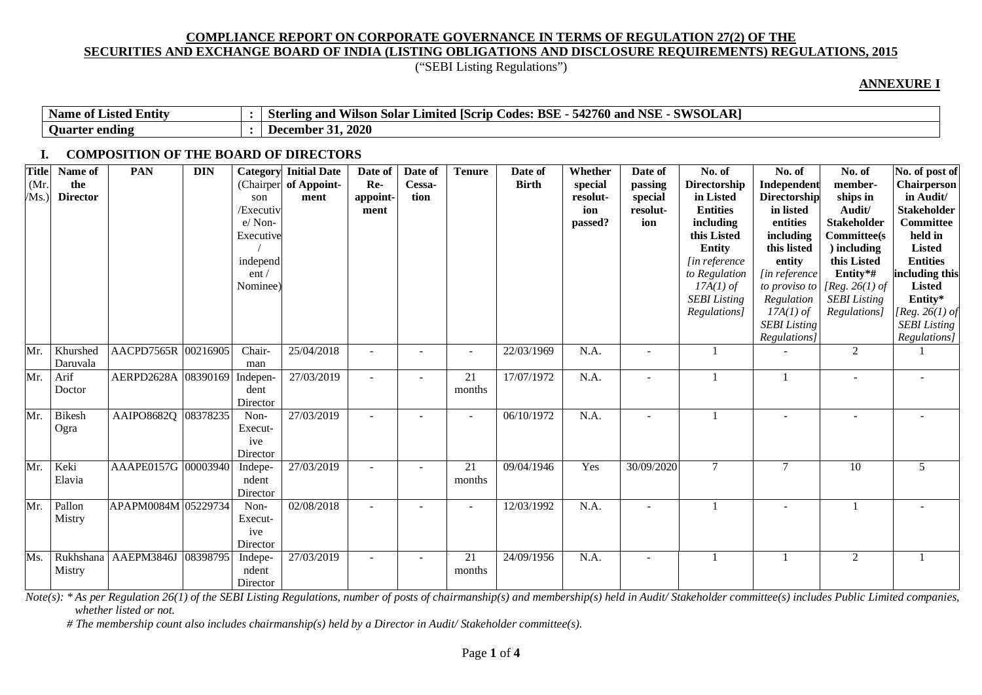("SEBI Listing Regulations")

#### **ANNEXURE I**

| <b>Entity</b><br>Name<br>-Listed<br>- of - | $\sim$ CWCOT<br>$\sim$ $\sim$ $\sim$<br>D.<br><b>BSE</b><br>$\overline{A}$<br>2760 and<br>Limited [Scrip $\Gamma$<br>ASF<br>Codes<br>`and<br>ster<br>. Solar<br>rlıng.<br>wiison<br>SULAN<br>◡▬▵ |
|--------------------------------------------|--------------------------------------------------------------------------------------------------------------------------------------------------------------------------------------------------|
| ' ending<br><b>Ouarter</b>                 | , 2020<br>December<br>.                                                                                                                                                                          |

#### **I. COMPOSITION OF THE BOARD OF DIRECTORS**

| <b>Title</b><br>(Mr.<br>MS. | Name of<br>the<br><b>Director</b> | <b>PAN</b>          | <b>DIN</b> | Category<br>(Chairper<br>son<br>/Executiv<br>e/Non-<br>Executive<br>independ<br>ent/<br>Nominee <sup>®</sup> | <b>Initial Date</b><br>of Appoint-<br>ment | Date of<br>Re-<br>appoint-<br>ment | Date of<br>Cessa-<br>tion | <b>Tenure</b>            | Date of<br><b>Birth</b> | Whether<br>special<br>resolut-<br>ion<br>passed? | Date of<br>passing<br>special<br>resolut-<br>ion | No. of<br><b>Directorship</b><br>in Listed<br><b>Entities</b><br>including<br>this Listed<br><b>Entity</b><br><i>lin reference</i><br>to Regulation<br>$17A(1)$ of<br><b>SEBI</b> Listing<br>Regulations] | No. of<br>Independent<br><b>Directorship</b><br>in listed<br>entities<br>including<br>this listed<br>entity<br>[in reference<br>to proviso to<br>Regulation<br>$17A(1)$ of<br><b>SEBI</b> Listing<br>Regulations] | No. of<br>member-<br>ships in<br>Audit/<br><b>Stakeholder</b><br><b>Committee</b> (s<br>) including<br>this Listed<br>Entity*#<br>[Reg. 26(1) of<br><b>SEBI</b> Listing<br>Regulations] | No. of post of<br>Chairperson<br>in Audit/<br><b>Stakeholder</b><br>Committee<br>held in<br><b>Listed</b><br><b>Entities</b><br>including this<br><b>Listed</b><br>Entity*<br>[ $Reg. 26(1)$ of<br><b>SEBI</b> Listing<br>Regulations] |
|-----------------------------|-----------------------------------|---------------------|------------|--------------------------------------------------------------------------------------------------------------|--------------------------------------------|------------------------------------|---------------------------|--------------------------|-------------------------|--------------------------------------------------|--------------------------------------------------|-----------------------------------------------------------------------------------------------------------------------------------------------------------------------------------------------------------|-------------------------------------------------------------------------------------------------------------------------------------------------------------------------------------------------------------------|-----------------------------------------------------------------------------------------------------------------------------------------------------------------------------------------|----------------------------------------------------------------------------------------------------------------------------------------------------------------------------------------------------------------------------------------|
| Mr.                         | Khurshed<br>Daruvala              | AACPD7565R 00216905 |            | Chair-<br>man                                                                                                | 25/04/2018                                 |                                    |                           | $\overline{\phantom{a}}$ | 22/03/1969              | N.A.                                             |                                                  |                                                                                                                                                                                                           |                                                                                                                                                                                                                   | $\overline{2}$                                                                                                                                                                          |                                                                                                                                                                                                                                        |
| Mr.                         | Arif<br>Doctor                    | AERPD2628A 08390169 |            | Indepen-<br>dent<br>Director                                                                                 | 27/03/2019                                 | $\overline{\phantom{a}}$           |                           | 21<br>months             | 17/07/1972              | N.A.                                             |                                                  |                                                                                                                                                                                                           |                                                                                                                                                                                                                   |                                                                                                                                                                                         |                                                                                                                                                                                                                                        |
| Mr.                         | <b>Bikesh</b><br>Ogra             | AAIPO8682Q 08378235 |            | Non-<br>Execut-<br>ive<br>Director                                                                           | $\overline{27}/03/2019$                    |                                    |                           | $\overline{\phantom{a}}$ | 06/10/1972              | N.A.                                             |                                                  |                                                                                                                                                                                                           |                                                                                                                                                                                                                   |                                                                                                                                                                                         |                                                                                                                                                                                                                                        |
| Mr.                         | Keki<br>Elavia                    | AAAPE0157G 00003940 |            | Indepe-<br>ndent<br>Director                                                                                 | 27/03/2019                                 |                                    |                           | 21<br>months             | 09/04/1946              | Yes                                              | 30/09/2020                                       | $\tau$                                                                                                                                                                                                    | 7                                                                                                                                                                                                                 | 10                                                                                                                                                                                      | 5                                                                                                                                                                                                                                      |
| Mr.                         | Pallon<br>Mistry                  | APAPM0084M 05229734 |            | Non-<br>Execut-<br>ive<br>Director                                                                           | 02/08/2018                                 | $\overline{\phantom{a}}$           | $\overline{a}$            | $\overline{\phantom{a}}$ | 12/03/1992              | N.A.                                             |                                                  |                                                                                                                                                                                                           |                                                                                                                                                                                                                   |                                                                                                                                                                                         |                                                                                                                                                                                                                                        |
| Ms.                         | Rukhshana<br>Mistry               | AAEPM3846J          | 08398795   | Indepe-<br>ndent<br>Director                                                                                 | 27/03/2019                                 | $\overline{\phantom{a}}$           | $\overline{\phantom{a}}$  | 21<br>months             | 24/09/1956              | N.A.                                             |                                                  |                                                                                                                                                                                                           |                                                                                                                                                                                                                   | 2                                                                                                                                                                                       |                                                                                                                                                                                                                                        |

Note(s): \*As per Regulation 26(1) of the SEBI Listing Regulations, number of posts of chairmanship(s) and membership(s) held in Audit/Stakeholder committee(s) includes Public Limited companies, *whether listed or not.*

 *# The membership count also includes chairmanship(s) held by a Director in Audit/ Stakeholder committee(s).*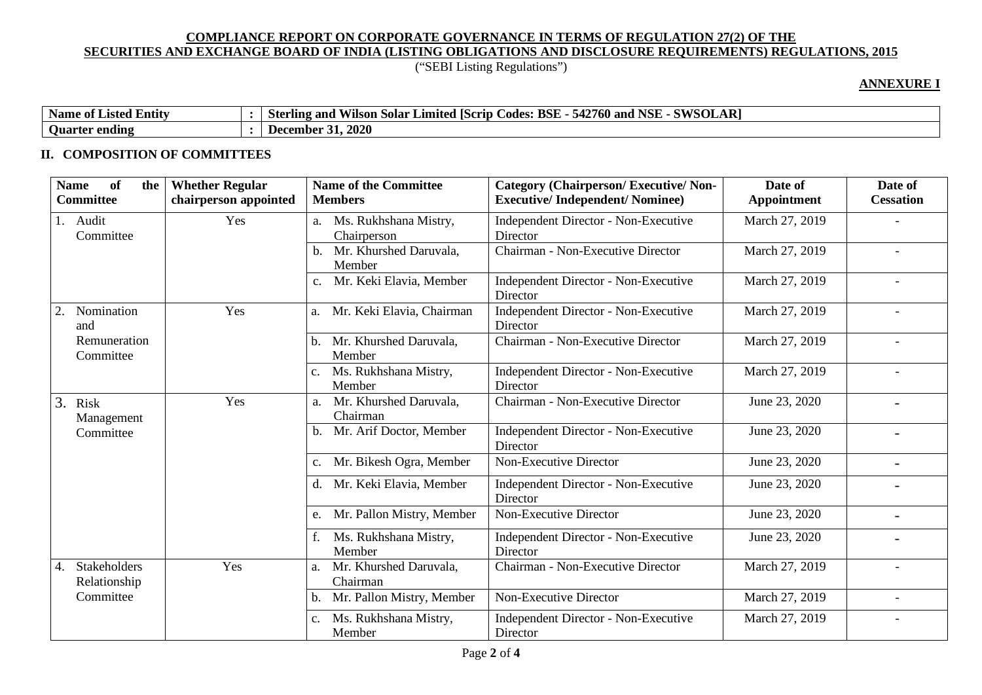# ("SEBI Listing Regulations")

### **ANNEXURE I**

| Name<br>$\cdot$ .<br>e of Listed Entity | AR)<br>' NSE<br>SWSOL<br><b>BSE</b><br>' 105/<br>$- - - - -$<br><b>FO</b><br>$\sim$<br>' IScrip-<br>Codes:<br>760 and<br>Limited<br>542<br>and<br>sterling<br>- Solar<br>/1lson<br>$\sim$ |
|-----------------------------------------|-------------------------------------------------------------------------------------------------------------------------------------------------------------------------------------------|
| <b>Ouarter</b><br>ending                | . 2020<br>December                                                                                                                                                                        |

# **II. COMPOSITION OF COMMITTEES**

| of<br><b>Name</b><br><b>Whether Regular</b><br>the<br>chairperson appointed<br><b>Committee</b> | <b>Name of the Committee</b><br><b>Members</b>    | <b>Category (Chairperson/Executive/Non-</b><br><b>Executive/Independent/Nominee)</b> | Date of<br>Appointment | Date of<br><b>Cessation</b> |
|-------------------------------------------------------------------------------------------------|---------------------------------------------------|--------------------------------------------------------------------------------------|------------------------|-----------------------------|
| Yes<br>1. Audit<br>Committee                                                                    | Ms. Rukhshana Mistry,<br>a.<br>Chairperson        | Independent Director - Non-Executive<br>Director                                     | March 27, 2019         |                             |
|                                                                                                 | Mr. Khurshed Daruvala,<br>Member                  | Chairman - Non-Executive Director                                                    | March 27, 2019         |                             |
|                                                                                                 | Mr. Keki Elavia, Member                           | Independent Director - Non-Executive<br>Director                                     | March 27, 2019         |                             |
| Nomination<br>Yes<br>2.<br>and                                                                  | Mr. Keki Elavia, Chairman<br>a.                   | Independent Director - Non-Executive<br>Director                                     | March 27, 2019         |                             |
| Remuneration<br>Committee                                                                       | Mr. Khurshed Daruvala,<br>b.<br>Member            | Chairman - Non-Executive Director                                                    | March 27, 2019         |                             |
|                                                                                                 | Ms. Rukhshana Mistry,<br>c.<br>Member             | Independent Director - Non-Executive<br>Director                                     | March 27, 2019         |                             |
| Yes<br>3. Risk<br>Management                                                                    | Mr. Khurshed Daruvala,<br>a.<br>Chairman          | Chairman - Non-Executive Director                                                    | June 23, 2020          | $\overline{\phantom{0}}$    |
| Committee                                                                                       | Mr. Arif Doctor, Member<br>b.                     | Independent Director - Non-Executive<br>Director                                     | June 23, 2020          | $\blacksquare$              |
|                                                                                                 | Mr. Bikesh Ogra, Member<br>$C_{\bullet}$          | Non-Executive Director                                                               | June 23, 2020          | $\blacksquare$              |
|                                                                                                 | Mr. Keki Elavia, Member<br>d.                     | Independent Director - Non-Executive<br>Director                                     | June 23, 2020          |                             |
|                                                                                                 | Mr. Pallon Mistry, Member<br>e.                   | Non-Executive Director                                                               | June 23, 2020          | $\overline{\phantom{0}}$    |
|                                                                                                 | Ms. Rukhshana Mistry,<br>Member                   | Independent Director - Non-Executive<br>Director                                     | June 23, 2020          |                             |
| Yes<br>Stakeholders<br>4.<br>Relationship                                                       | Mr. Khurshed Daruvala,<br>a.<br>Chairman          | Chairman - Non-Executive Director                                                    | March 27, 2019         |                             |
| Committee                                                                                       | Mr. Pallon Mistry, Member                         | Non-Executive Director                                                               | March 27, 2019         |                             |
|                                                                                                 | Ms. Rukhshana Mistry,<br>$\mathbf{c}$ .<br>Member | Independent Director - Non-Executive<br>Director                                     | March 27, 2019         |                             |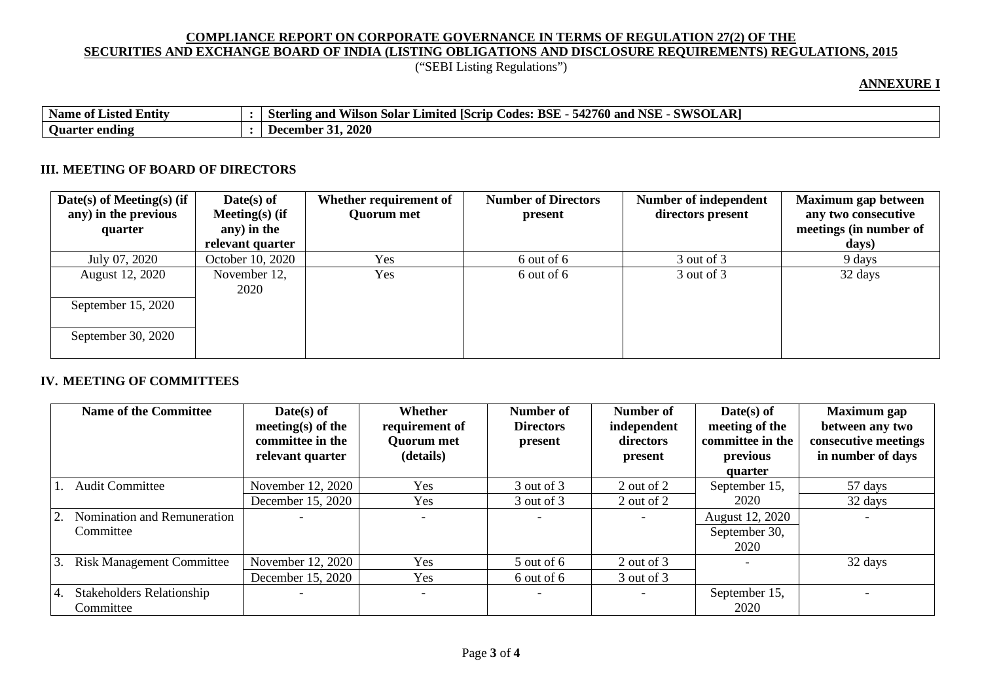("SEBI Listing Regulations")

### **ANNEXURE I**

| $\cdot$ .<br><b>Name</b><br>. Entity<br>` 01-<br>Listed | <b>D</b><br><b>NSE</b><br>си/слі<br>BSE<br><b>FO</b><br>2760 L<br><b>ISCrip</b><br>and<br>and<br>Limited<br>Codes:<br>Vilson<br>solar<br>547<br>. 11N9 -<br>"Ste<br>JULAN' |
|---------------------------------------------------------|----------------------------------------------------------------------------------------------------------------------------------------------------------------------------|
| <b>Ouarter</b><br>' ending                              | 2020<br>- 1 JE.<br>ecember                                                                                                                                                 |

### **III. MEETING OF BOARD OF DIRECTORS**

| $Date(s)$ of Meeting(s) (if<br>any) in the previous<br>quarter | Date(s) of<br>Meeting $(s)$ (if<br>any) in the<br>relevant quarter | Whether requirement of<br><b>Quorum met</b> | <b>Number of Directors</b><br>present | Number of independent<br>directors present | Maximum gap between<br>any two consecutive<br>meetings (in number of<br>days) |
|----------------------------------------------------------------|--------------------------------------------------------------------|---------------------------------------------|---------------------------------------|--------------------------------------------|-------------------------------------------------------------------------------|
| July 07, 2020                                                  | October 10, 2020                                                   | Yes.                                        | 6 out of 6                            | $3$ out of $3$                             | 9 days                                                                        |
| August 12, 2020                                                | November 12,<br>2020                                               | Yes                                         | 6 out of 6                            | 3 out of 3                                 | 32 days                                                                       |
| September $15, 2020$                                           |                                                                    |                                             |                                       |                                            |                                                                               |
| September 30, 2020                                             |                                                                    |                                             |                                       |                                            |                                                                               |

### **IV. MEETING OF COMMITTEES**

| <b>Name of the Committee</b>     | $Date(s)$ of<br>meeting(s) of the<br>committee in the<br>relevant quarter | Whether<br>requirement of<br><b>Quorum met</b><br>(details) | Number of<br><b>Directors</b><br>present | Number of<br>independent<br>directors<br>present | $Date(s)$ of<br>meeting of the<br>committee in the<br>previous | <b>Maximum</b> gap<br>between any two<br>consecutive meetings<br>in number of days |
|----------------------------------|---------------------------------------------------------------------------|-------------------------------------------------------------|------------------------------------------|--------------------------------------------------|----------------------------------------------------------------|------------------------------------------------------------------------------------|
| <b>Audit Committee</b>           | November 12, 2020                                                         | Yes                                                         | 3 out of 3                               | 2 out of 2                                       | quarter                                                        | 57 days                                                                            |
|                                  |                                                                           |                                                             |                                          |                                                  | September 15,                                                  |                                                                                    |
|                                  | December 15, 2020                                                         | Yes                                                         | 3 out of 3                               | 2 out of 2                                       | 2020                                                           | 32 days                                                                            |
| Nomination and Remuneration      |                                                                           |                                                             |                                          | $\overline{\phantom{0}}$                         | August 12, 2020                                                |                                                                                    |
| Committee                        |                                                                           |                                                             |                                          |                                                  | September 30,                                                  |                                                                                    |
|                                  |                                                                           |                                                             |                                          |                                                  | 2020                                                           |                                                                                    |
| <b>Risk Management Committee</b> | November 12, 2020                                                         | Yes                                                         | $5$ out of 6                             | 2 out of 3                                       |                                                                | 32 days                                                                            |
|                                  | December 15, 2020                                                         | Yes                                                         | 6 out of 6                               | 3 out of 3                                       |                                                                |                                                                                    |
| <b>Stakeholders Relationship</b> |                                                                           | $\overline{\phantom{0}}$                                    |                                          | $\overline{\phantom{a}}$                         | September 15,                                                  |                                                                                    |
| Committee                        |                                                                           |                                                             |                                          |                                                  | 2020                                                           |                                                                                    |